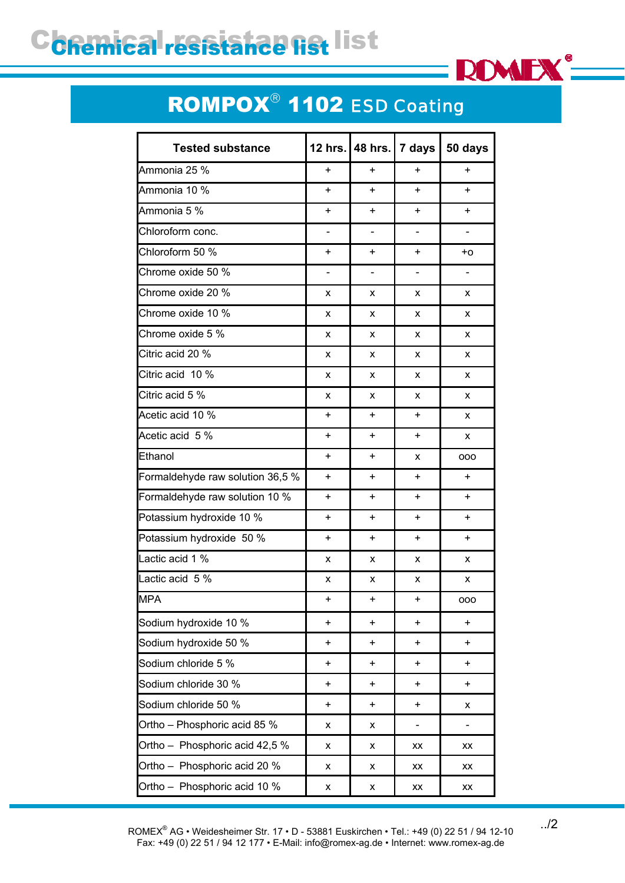## C**chemical resistance list** list



## ROMPOX® 1102 *ESD Coating*

| <b>Tested substance</b>          | 12 hrs.   | <b>48 hrs.</b>           | 7 days         | 50 days        |
|----------------------------------|-----------|--------------------------|----------------|----------------|
| Ammonia 25 %                     | +         | $\ddot{}$                | $\ddot{}$      | $\ddot{}$      |
| Ammonia 10 %                     | +         | $\ddot{}$                | $\ddot{}$      | $\ddot{}$      |
| Ammonia 5 %                      | +         | $\ddot{}$                | $\ddot{}$      | $+$            |
| Chloroform conc.                 | -         | $\blacksquare$           | $\blacksquare$ | $\blacksquare$ |
| Chloroform 50 %                  | +         | $\ddot{}$                | +              | +o             |
| Chrome oxide 50 %                | -         | $\overline{\phantom{0}}$ | $\blacksquare$ |                |
| Chrome oxide 20 %                | x         | x                        | x              | X              |
| Chrome oxide 10 %                | x         | x                        | x              | X              |
| Chrome oxide 5 %                 | x         | X                        | X              | X              |
| Citric acid 20 %                 | x         | X                        | X              | X              |
| Citric acid 10 %                 | x         | X                        | X              | X              |
| Citric acid 5 %                  | x         | X                        | X              | X              |
| Acetic acid 10 %                 | +         | $\ddot{}$                | $\ddot{}$      | X              |
| Acetic acid 5 %                  | +         | $\ddot{}$                | +              | X              |
| Ethanol                          | +         | $\ddot{}$                | X              | 000            |
| Formaldehyde raw solution 36,5 % | +         | +                        | +              | $\ddot{}$      |
| Formaldehyde raw solution 10 %   | +         | $\ddot{}$                | $\ddot{}$      | $\ddot{}$      |
| Potassium hydroxide 10 %         | +         | $\ddot{}$                | +              | $\ddot{}$      |
| Potassium hydroxide 50 %         | +         | $\ddot{}$                | $\ddot{}$      | $\ddot{}$      |
| Lactic acid 1 %                  | x         | x                        | x              | X              |
| Lactic acid 5 %                  | x         | x                        | x              | x              |
| <b>MPA</b>                       |           |                          |                | ooo            |
| Sodium hydroxide 10 %            | $\ddot{}$ | $\ddot{}$                | $\ddot{}$      | $\ddot{}$      |
| Sodium hydroxide 50 %            | +         | +                        | +              | $+$            |
| Sodium chloride 5 %              | $\ddot{}$ | +                        | $\ddot{}$      | $\ddot{}$      |
| Sodium chloride 30 %             | +         | $+$                      | $\ddot{}$      | $+$            |
| Sodium chloride 50 %             | +         | $\ddot{}$                | $\ddot{}$      | X              |
| Ortho - Phosphoric acid 85 %     | x         | X                        |                |                |
| Ortho - Phosphoric acid 42,5 %   | x         | x                        | XX             | XX             |
| Ortho - Phosphoric acid 20 %     | x         | x                        | XX             | XX             |
| Ortho - Phosphoric acid 10 %     | x         | X                        | XX             | XX             |

../2